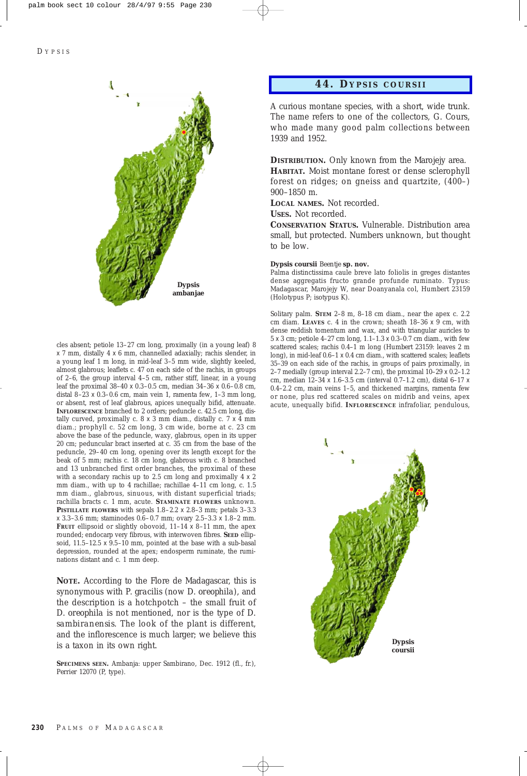

cles absent; petiole 13–27 cm long, proximally (in a young leaf) 8  $\times$  7 mm, distally 4  $\times$  6 mm, channelled adaxially; rachis slender, in a young leaf 1 m long, in mid-leaf 3–5 mm wide, slightly keeled, almost glabrous; leaflets c. 47 on each side of the rachis, in groups of 2–6, the group interval 4–5 cm, rather stiff, linear, in a young leaf the proximal 38–40 x 0.3–0.5 cm, median 34–36 x 0.6–0.8 cm, distal 8–23 x 0.3–0.6 cm, main vein 1, ramenta few, 1–3 mm long, or absent, rest of leaf glabrous, apices unequally bifid, attenuate. **INFLORESCENCE** branched to 2 orders; peduncle c. 42.5 cm long, distally curved, proximally c.  $8 \times 3$  mm diam., distally c.  $7 \times 4$  mm diam.; prophyll c. 52 cm long, 3 cm wide, borne at c. 23 cm above the base of the peduncle, waxy, glabrous, open in its upper 20 cm; peduncular bract inserted at c. 35 cm from the base of the peduncle, 29–40 cm long, opening over its length except for the beak of 5 mm; rachis c. 18 cm long, glabrous with c. 8 branched and 13 unbranched first order branches, the proximal of these with a secondary rachis up to 2.5 cm long and proximally  $4 \times 2$ mm diam., with up to 4 rachillae; rachillae 4–11 cm long, c. 1.5 mm diam., glabrous, sinuous, with distant superficial triads; rachilla bracts c. 1 mm, acute. **STAMINATE FLOWERS** unknown. **PISTILLATE FLOWERS** with sepals 1.8–2.2 x 2.8–3 mm; petals 3–3.3  $\times$  3.3–3.6 mm; staminodes 0.6–0.7 mm; ovary 2.5–3.3  $\times$  1.8–2 mm. **FRUIT** ellipsoid or slightly obovoid,  $11-14 \times 8-11$  mm, the apex rounded; endocarp very fibrous, with interwoven fibres. **SEED** ellipsoid, 11.5–12.5 x 9.5–10 mm, pointed at the base with a sub-basal depression, rounded at the apex; endosperm ruminate, the ruminations distant and c. 1 mm deep.

**NOTE.** According to the Flore de Madagascar, this is synonymous with *P. gracilis* (now *D. oreophila*), and the description is a hotchpotch – the small fruit of *D. oreophila* is not mentioned, nor is the type of *D. sambiranensis*. The look of the plant is different, and the inflorescence is much larger; we believe this is a taxon in its own right.

**SPECIMENS SEEN.** Ambanja: upper Sambirano, Dec. 1912 (fl., fr.), *Perrier* 12070 (P, type).

## **44. D YPSIS COURSII**

A curious montane species, with a short, wide trunk. The name refers to one of the collectors, G. Cours, who made many good palm collections between 1939 and 1952.

**DISTRIBUTION.** Only known from the Marojejy area. **HABITAT.** Moist montane forest or dense sclerophyll forest on ridges; on gneiss and quartzite, (400–) 900–1850 m.

**LOCAL NAMES.** Not recorded.

**USES.** Not recorded.

**CONSERVATION STATUS.** Vulnerable. Distribution area small, but protected. Numbers unknown, but thought to be low.

## **Dypsis coursii** *Beentje* **sp. nov.**

Palma distinctissima caule breve lato foliolis in greges distantes dense aggregatis fructo grande profunde ruminato. Typus: Madagascar, Marojejy W, near Doanyanala col, *Humbert* 23159 (Holotypus P; isotypus K).

Solitary palm. **STEM** 2–8 m, 8–18 cm diam., near the apex c. 2.2 cm diam. **LEAVES** c. 4 in the crown; sheath 18–36 x 9 cm, with dense reddish tomentum and wax, and with triangular auricles to 5 x 3 cm; petiole 4–27 cm long, 1.1–1.3 x 0.3–0.7 cm diam., with few scattered scales; rachis 0.4–1 m long (*Humbert* 23159: leaves 2 m long), in mid-leaf  $0.6-1 \times 0.4$  cm diam., with scattered scales; leaflets 35–39 on each side of the rachis, in groups of pairs proximally, in 2–7 medially (group interval 2.2–7 cm), the proximal  $10-29 \times 0.2-1.2$ cm, median 12–34 x 1.6–3.5 cm (interval 0.7–1.2 cm), distal 6–17 x 0.4–2.2 cm, main veins 1–5, and thickened margins, ramenta few or none, plus red scattered scales on midrib and veins, apex acute, unequally bifid. **INFLORESCENCE** infrafoliar, pendulous,